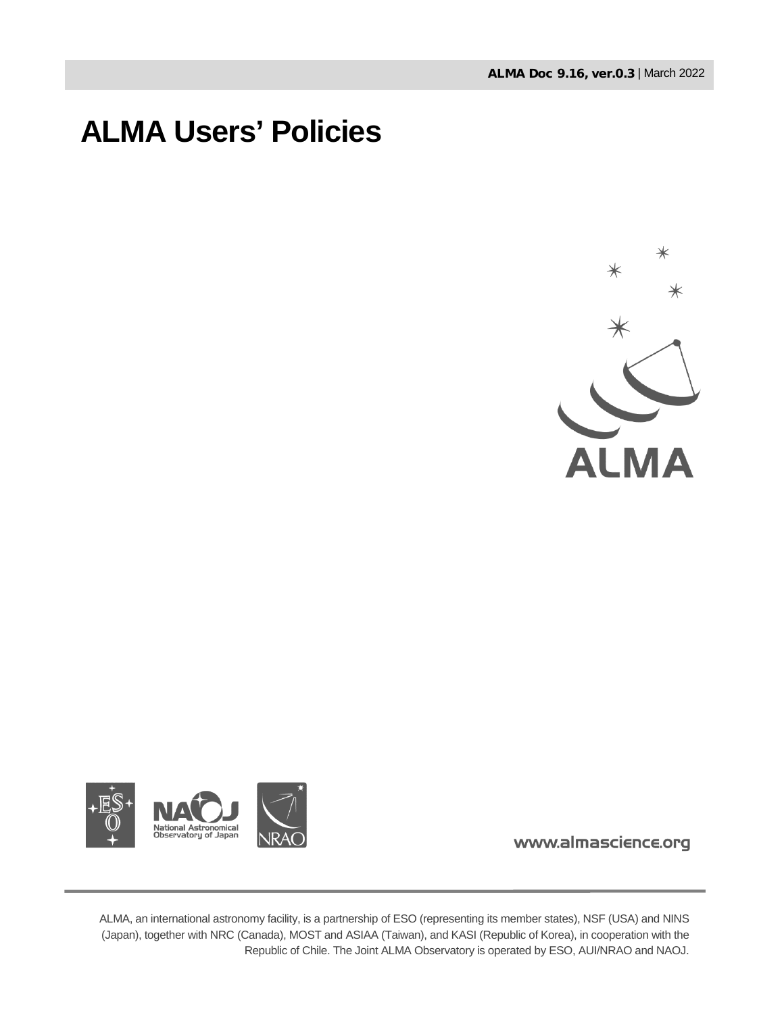# **ALMA Users' Policies**





www.almascience.org

ALMA, an international astronomy facility, is a partnership of ESO (representing its member states), NSF (USA) and NINS (Japan), together with NRC (Canada), MOST and ASIAA (Taiwan), and KASI (Republic of Korea), in cooperation with the Republic of Chile. The Joint ALMA Observatory is operated by ESO, AUI/NRAO and NAOJ.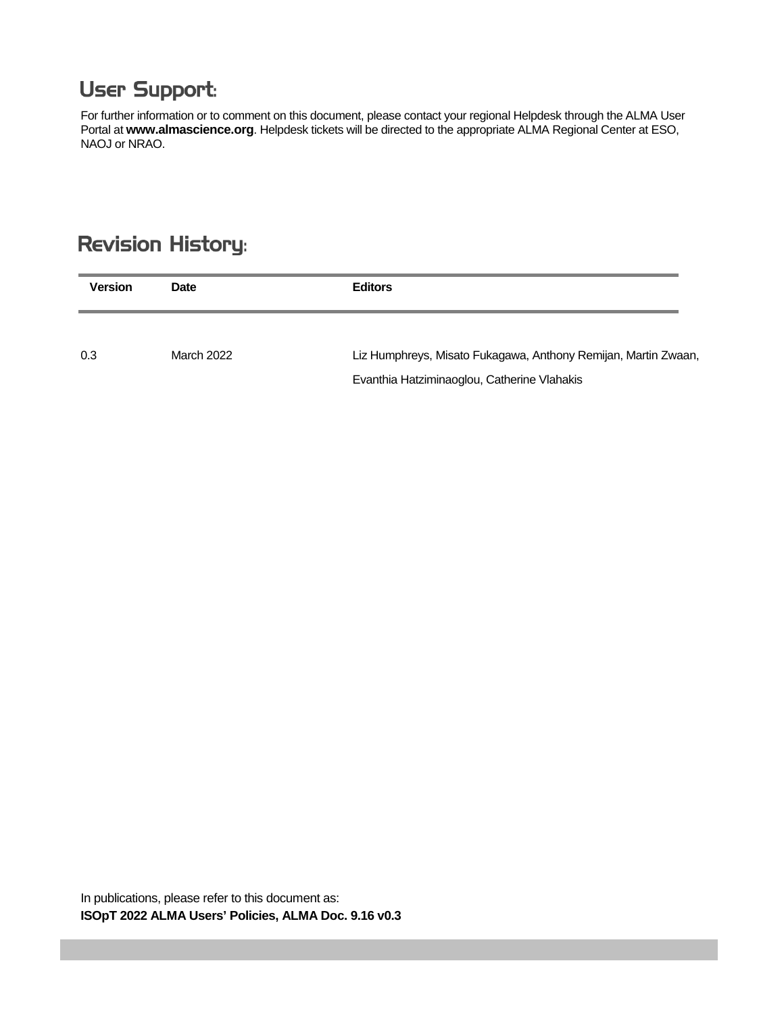## **User Support:**

For further information or to comment on this document, please contact your regional Helpdesk through the ALMA User Portal at **www.almascience.org**. Helpdesk tickets will be directed to the appropriate ALMA Regional Center at ESO, NAOJ or NRAO.

### **Revision History:**

| <b>Version</b> | Date       | <b>Editors</b>                                                 |
|----------------|------------|----------------------------------------------------------------|
| 0.3            | March 2022 | Liz Humphreys, Misato Fukagawa, Anthony Remijan, Martin Zwaan, |
|                |            | Evanthia Hatziminaoglou, Catherine Vlahakis                    |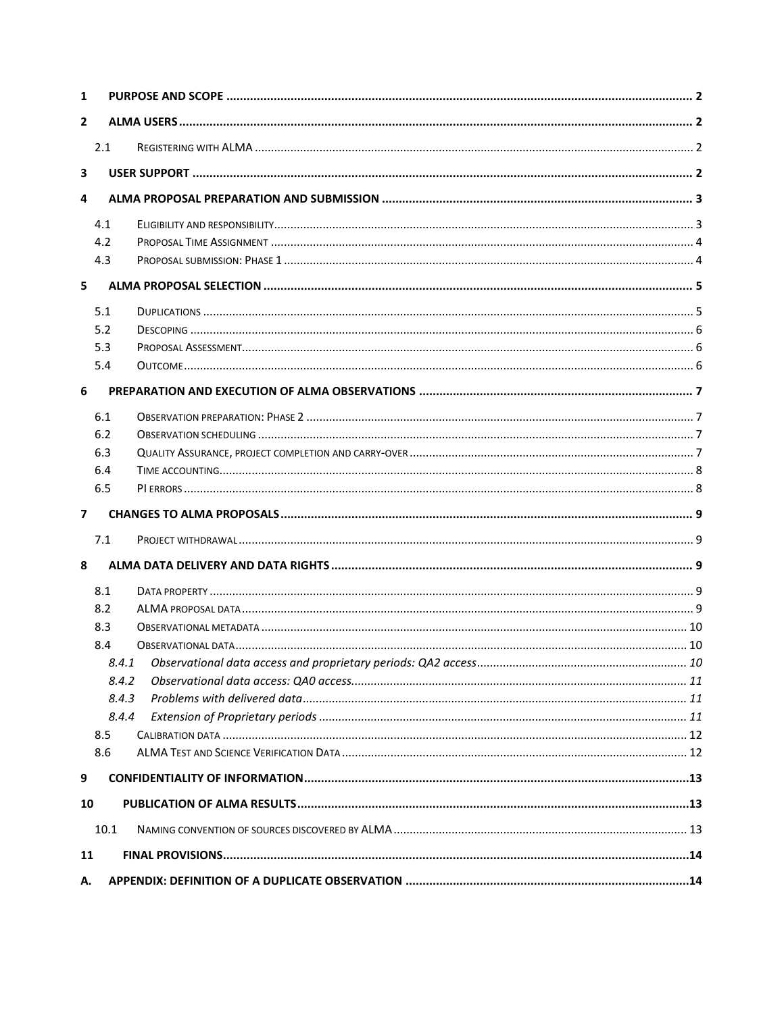| $\mathbf{1}$            |      |       |  |  |  |
|-------------------------|------|-------|--|--|--|
| $\overline{2}$          |      |       |  |  |  |
|                         | 2.1  |       |  |  |  |
| 3                       |      |       |  |  |  |
| $\overline{\mathbf{4}}$ |      |       |  |  |  |
|                         |      |       |  |  |  |
|                         | 4.1  |       |  |  |  |
|                         | 4.2  |       |  |  |  |
|                         | 4.3  |       |  |  |  |
| 5                       |      |       |  |  |  |
|                         | 5.1  |       |  |  |  |
|                         | 5.2  |       |  |  |  |
|                         | 5.3  |       |  |  |  |
|                         | 5.4  |       |  |  |  |
| 6                       |      |       |  |  |  |
|                         | 6.1  |       |  |  |  |
|                         | 6.2  |       |  |  |  |
|                         | 6.3  |       |  |  |  |
|                         | 6.4  |       |  |  |  |
|                         | 6.5  |       |  |  |  |
| $\overline{7}$          |      |       |  |  |  |
|                         | 7.1  |       |  |  |  |
| 8                       |      |       |  |  |  |
|                         | 8.1  |       |  |  |  |
|                         | 8.2  |       |  |  |  |
|                         | 8.3  |       |  |  |  |
|                         | 8.4  |       |  |  |  |
|                         |      |       |  |  |  |
|                         |      | 8.4.2 |  |  |  |
|                         |      | 8.4.3 |  |  |  |
|                         |      | 8.4.4 |  |  |  |
|                         | 8.5  |       |  |  |  |
|                         | 8.6  |       |  |  |  |
| 9                       |      |       |  |  |  |
|                         |      |       |  |  |  |
| 10                      |      |       |  |  |  |
|                         | 10.1 |       |  |  |  |
| 11                      |      |       |  |  |  |
| А.                      |      |       |  |  |  |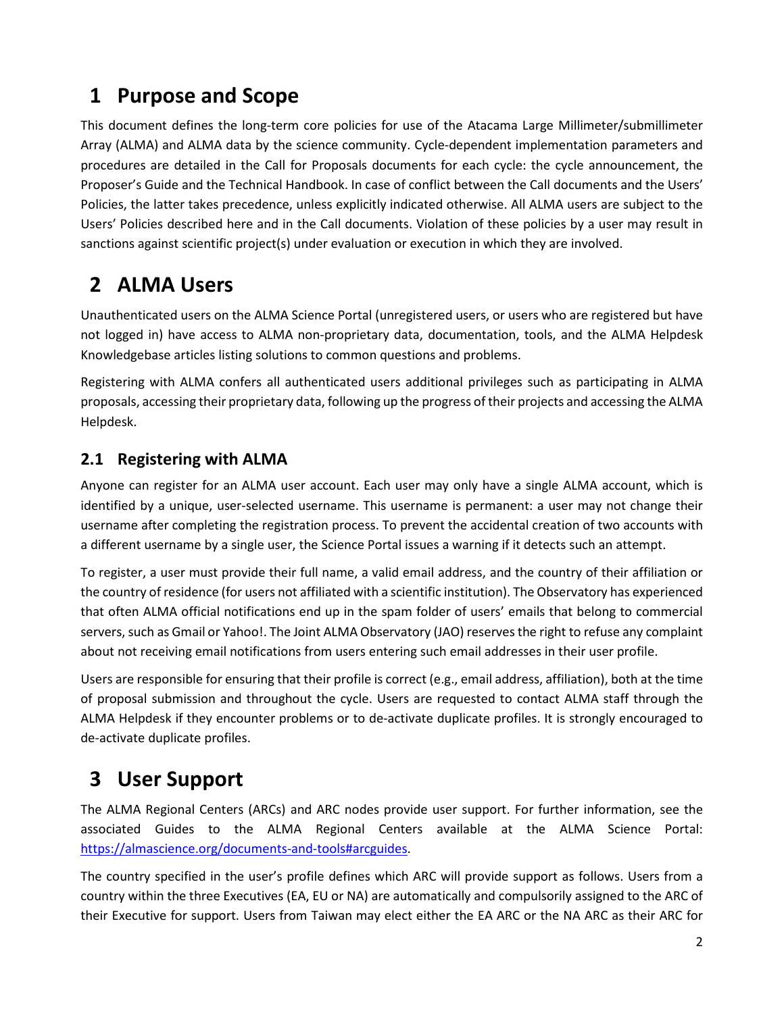### <span id="page-3-0"></span>**1 Purpose and Scope**

This document defines the long-term core policies for use of the Atacama Large Millimeter/submillimeter Array (ALMA) and ALMA data by the science community. Cycle-dependent implementation parameters and procedures are detailed in the Call for Proposals documents for each cycle: the cycle announcement, the Proposer's Guide and the Technical Handbook. In case of conflict between the Call documents and the Users' Policies, the latter takes precedence, unless explicitly indicated otherwise. All ALMA users are subject to the Users' Policies described here and in the Call documents. Violation of these policies by a user may result in sanctions against scientific project(s) under evaluation or execution in which they are involved.

## <span id="page-3-1"></span>**2 ALMA Users**

Unauthenticated users on the ALMA Science Portal (unregistered users, or users who are registered but have not logged in) have access to ALMA non-proprietary data, documentation, tools, and the ALMA Helpdesk Knowledgebase articles listing solutions to common questions and problems.

Registering with ALMA confers all authenticated users additional privileges such as participating in ALMA proposals, accessing their proprietary data, following up the progress of their projects and accessing the ALMA Helpdesk.

### <span id="page-3-2"></span>**2.1 Registering with ALMA**

Anyone can register for an ALMA user account. Each user may only have a single ALMA account, which is identified by a unique, user-selected username. This username is permanent: a user may not change their username after completing the registration process. To prevent the accidental creation of two accounts with a different username by a single user, the Science Portal issues a warning if it detects such an attempt.

To register, a user must provide their full name, a valid email address, and the country of their affiliation or the country of residence (for users not affiliated with a scientific institution). The Observatory has experienced that often ALMA official notifications end up in the spam folder of users' emails that belong to commercial servers, such as Gmail or Yahoo!. The Joint ALMA Observatory (JAO) reserves the right to refuse any complaint about not receiving email notifications from users entering such email addresses in their user profile.

Users are responsible for ensuring that their profile is correct (e.g., email address, affiliation), both at the time of proposal submission and throughout the cycle. Users are requested to contact ALMA staff through the ALMA Helpdesk if they encounter problems or to de-activate duplicate profiles. It is strongly encouraged to de-activate duplicate profiles.

## <span id="page-3-3"></span>**3 User Support**

The ALMA Regional Centers (ARCs) and ARC nodes provide user support. For further information, see the associated Guides to the ALMA Regional Centers available at the ALMA Science Portal: [https://almascience.org/documents-and-tools#arcguides.](https://almascience.org/documents-and-tools#arcguides)

The country specified in the user's profile defines which ARC will provide support as follows. Users from a country within the three Executives (EA, EU or NA) are automatically and compulsorily assigned to the ARC of their Executive for support. Users from Taiwan may elect either the EA ARC or the NA ARC as their ARC for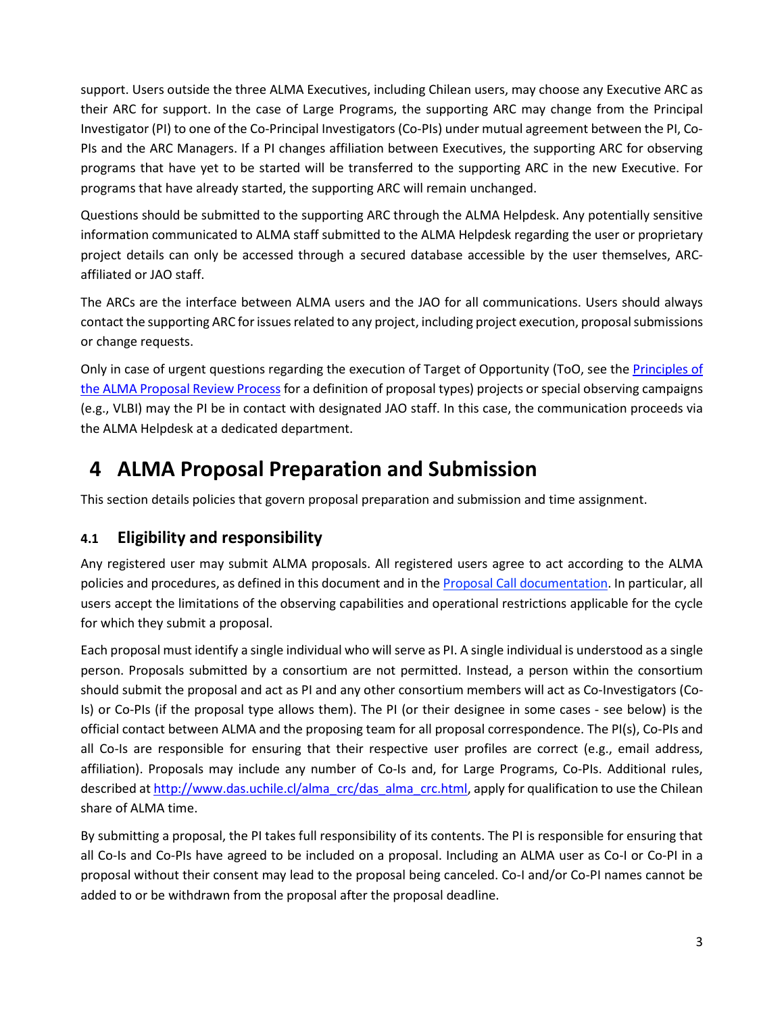support. Users outside the three ALMA Executives, including Chilean users, may choose any Executive ARC as their ARC for support. In the case of Large Programs, the supporting ARC may change from the Principal Investigator (PI) to one of the Co-Principal Investigators (Co-PIs) under mutual agreement between the PI, Co-PIs and the ARC Managers. If a PI changes affiliation between Executives, the supporting ARC for observing programs that have yet to be started will be transferred to the supporting ARC in the new Executive. For programs that have already started, the supporting ARC will remain unchanged.

Questions should be submitted to the supporting ARC through the ALMA Helpdesk. Any potentially sensitive information communicated to ALMA staff submitted to the ALMA Helpdesk regarding the user or proprietary project details can only be accessed through a secured database accessible by the user themselves, ARCaffiliated or JAO staff.

The ARCs are the interface between ALMA users and the JAO for all communications. Users should always contact the supporting ARC for issues related to any project, including project execution, proposal submissions or change requests.

Only in case of urgent questions regarding the execution of Target of Opportunity (ToO, see the [Principles of](http://almascience.org/documents-and-tools/cycle9/alma-proposal-review-process)  [the ALMA Proposal Review Process](http://almascience.org/documents-and-tools/cycle9/alma-proposal-review-process) for a definition of proposal types) projects or special observing campaigns (e.g., VLBI) may the PI be in contact with designated JAO staff. In this case, the communication proceeds via the ALMA Helpdesk at a dedicated department.

## <span id="page-4-0"></span>**4 ALMA Proposal Preparation and Submission**

This section details policies that govern proposal preparation and submission and time assignment.

#### <span id="page-4-1"></span>**4.1 Eligibility and responsibility**

Any registered user may submit ALMA proposals. All registered users agree to act according to the ALMA policies and procedures, as defined in this document and in the [Proposal Call documentation.](http://almascience.org/documents-and-tools/cycle9/alma-proposers-guide) In particular, all users accept the limitations of the observing capabilities and operational restrictions applicable for the cycle for which they submit a proposal.

Each proposal must identify a single individual who will serve as PI. A single individual is understood as a single person. Proposals submitted by a consortium are not permitted. Instead, a person within the consortium should submit the proposal and act as PI and any other consortium members will act as Co-Investigators (Co-Is) or Co-PIs (if the proposal type allows them). The PI (or their designee in some cases - see below) is the official contact between ALMA and the proposing team for all proposal correspondence. The PI(s), Co-PIs and all Co-Is are responsible for ensuring that their respective user profiles are correct (e.g., email address, affiliation). Proposals may include any number of Co-Is and, for Large Programs, Co-PIs. Additional rules, described at [http://www.das.uchile.cl/alma\\_crc/das\\_alma\\_crc.html,](http://www.das.uchile.cl/alma_crc/das_alma_crc.html) apply for qualification to use the Chilean share of ALMA time.

By submitting a proposal, the PI takes full responsibility of its contents. The PI is responsible for ensuring that all Co-Is and Co-PIs have agreed to be included on a proposal. Including an ALMA user as Co-I or Co-PI in a proposal without their consent may lead to the proposal being canceled. Co-I and/or Co-PI names cannot be added to or be withdrawn from the proposal after the proposal deadline.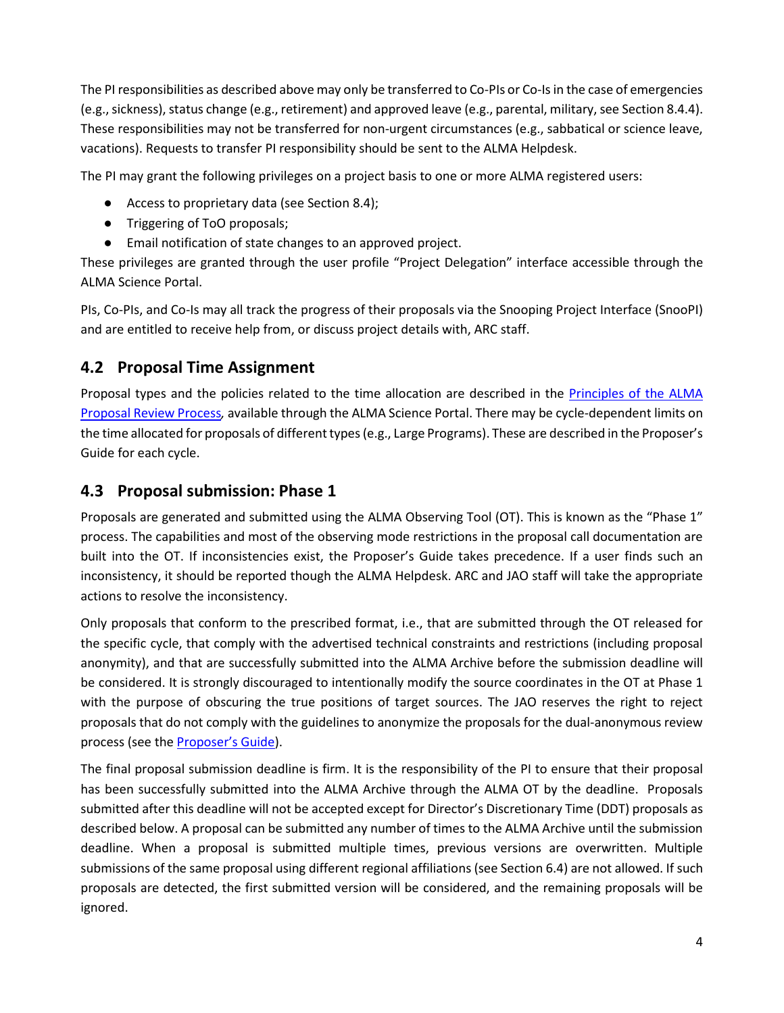The PI responsibilities as described above may only be transferred to Co-PIs or Co-Is in the case of emergencies (e.g.,sickness), status change (e.g., retirement) and approved leave (e.g., parental, military, see Section 8.4.4). These responsibilities may not be transferred for non-urgent circumstances (e.g., sabbatical or science leave, vacations). Requests to transfer PI responsibility should be sent to the ALMA Helpdesk.

The PI may grant the following privileges on a project basis to one or more ALMA registered users:

- Access to proprietary data (see Section 8.4);
- Triggering of ToO proposals;
- Email notification of state changes to an approved project.

These privileges are granted through the user profile "Project Delegation" interface accessible through the ALMA Science Portal.

PIs, Co-PIs, and Co-Is may all track the progress of their proposals via the Snooping Project Interface (SnooPI) and are entitled to receive help from, or discuss project details with, ARC staff.

#### <span id="page-5-0"></span>**4.2 Proposal Time Assignment**

Proposal types and the policies related to the time allocation are described in the [Principles of the ALMA](http://almascience.org/documents-and-tools/cycle9/alma-proposal-review-process)  [Proposal Review Process](http://almascience.org/documents-and-tools/cycle9/alma-proposal-review-process)*,* available through the ALMA Science Portal. There may be cycle-dependent limits on the time allocated for proposals of different types (e.g., Large Programs). These are described in the Proposer's Guide for each cycle.

#### <span id="page-5-1"></span>**4.3 Proposal submission: Phase 1**

Proposals are generated and submitted using the ALMA Observing Tool (OT). This is known as the "Phase 1" process. The capabilities and most of the observing mode restrictions in the proposal call documentation are built into the OT. If inconsistencies exist, the Proposer's Guide takes precedence. If a user finds such an inconsistency, it should be reported though the ALMA Helpdesk. ARC and JAO staff will take the appropriate actions to resolve the inconsistency.

Only proposals that conform to the prescribed format, i.e., that are submitted through the OT released for the specific cycle, that comply with the advertised technical constraints and restrictions (including proposal anonymity), and that are successfully submitted into the ALMA Archive before the submission deadline will be considered. It is strongly discouraged to intentionally modify the source coordinates in the OT at Phase 1 with the purpose of obscuring the true positions of target sources. The JAO reserves the right to reject proposals that do not comply with the guidelines to anonymize the proposals for the dual-anonymous review process (see the [Proposer's Guide\)](http://almascience.org/documents-and-tools/cycle9/alma-proposers-guide).

The final proposal submission deadline is firm. It is the responsibility of the PI to ensure that their proposal has been successfully submitted into the ALMA Archive through the ALMA OT by the deadline. Proposals submitted after this deadline will not be accepted except for Director's Discretionary Time (DDT) proposals as described below. A proposal can be submitted any number of times to the ALMA Archive until the submission deadline. When a proposal is submitted multiple times, previous versions are overwritten. Multiple submissions of the same proposal using different regional affiliations (see Section 6.4) are not allowed. If such proposals are detected, the first submitted version will be considered, and the remaining proposals will be ignored.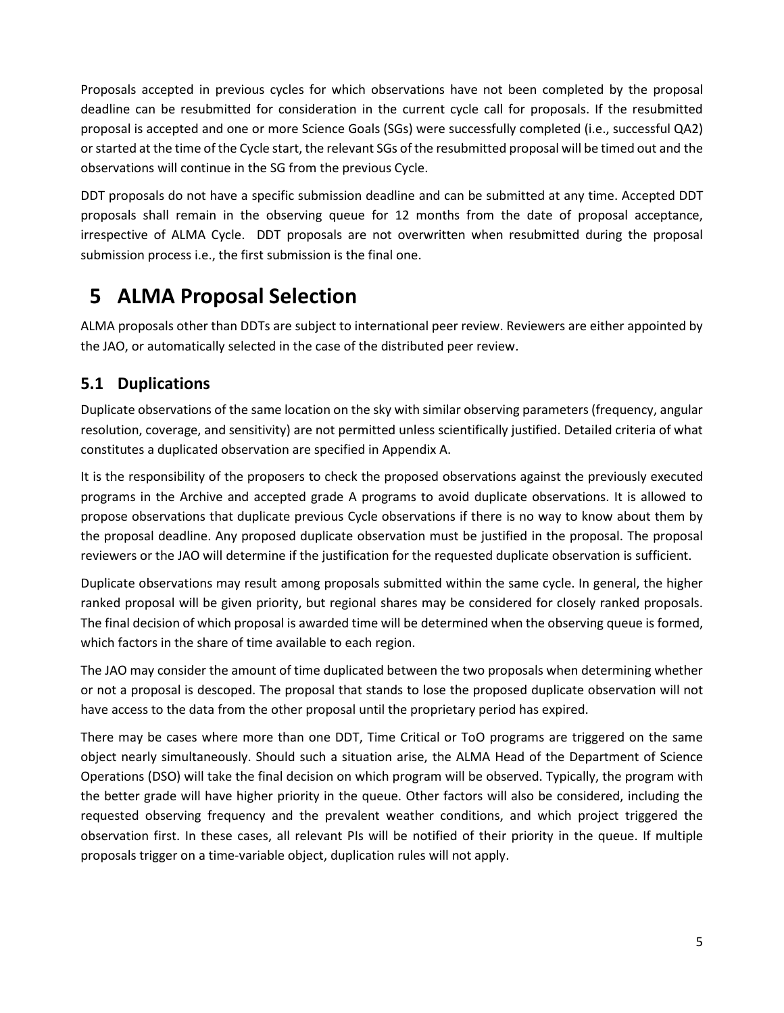Proposals accepted in previous cycles for which observations have not been completed by the proposal deadline can be resubmitted for consideration in the current cycle call for proposals. If the resubmitted proposal is accepted and one or more Science Goals (SGs) were successfully completed (i.e., successful QA2) or started at the time of the Cycle start, the relevant SGs of the resubmitted proposal will be timed out and the observations will continue in the SG from the previous Cycle.

DDT proposals do not have a specific submission deadline and can be submitted at any time. Accepted DDT proposals shall remain in the observing queue for 12 months from the date of proposal acceptance, irrespective of ALMA Cycle. DDT proposals are not overwritten when resubmitted during the proposal submission process i.e., the first submission is the final one.

## <span id="page-6-0"></span>**5 ALMA Proposal Selection**

ALMA proposals other than DDTs are subject to international peer review. Reviewers are either appointed by the JAO, or automatically selected in the case of the distributed peer review.

### <span id="page-6-1"></span>**5.1 Duplications**

Duplicate observations of the same location on the sky with similar observing parameters (frequency, angular resolution, coverage, and sensitivity) are not permitted unless scientifically justified. Detailed criteria of what constitutes a duplicated observation are specified in Appendix A.

It is the responsibility of the proposers to check the proposed observations against the previously executed programs in the Archive and accepted grade A programs to avoid duplicate observations. It is allowed to propose observations that duplicate previous Cycle observations if there is no way to know about them by the proposal deadline. Any proposed duplicate observation must be justified in the proposal. The proposal reviewers or the JAO will determine if the justification for the requested duplicate observation is sufficient.

Duplicate observations may result among proposals submitted within the same cycle. In general, the higher ranked proposal will be given priority, but regional shares may be considered for closely ranked proposals. The final decision of which proposal is awarded time will be determined when the observing queue is formed, which factors in the share of time available to each region.

The JAO may consider the amount of time duplicated between the two proposals when determining whether or not a proposal is descoped. The proposal that stands to lose the proposed duplicate observation will not have access to the data from the other proposal until the proprietary period has expired.

There may be cases where more than one DDT, Time Critical or ToO programs are triggered on the same object nearly simultaneously. Should such a situation arise, the ALMA Head of the Department of Science Operations (DSO) will take the final decision on which program will be observed. Typically, the program with the better grade will have higher priority in the queue. Other factors will also be considered, including the requested observing frequency and the prevalent weather conditions, and which project triggered the observation first. In these cases, all relevant PIs will be notified of their priority in the queue. If multiple proposals trigger on a time-variable object, duplication rules will not apply.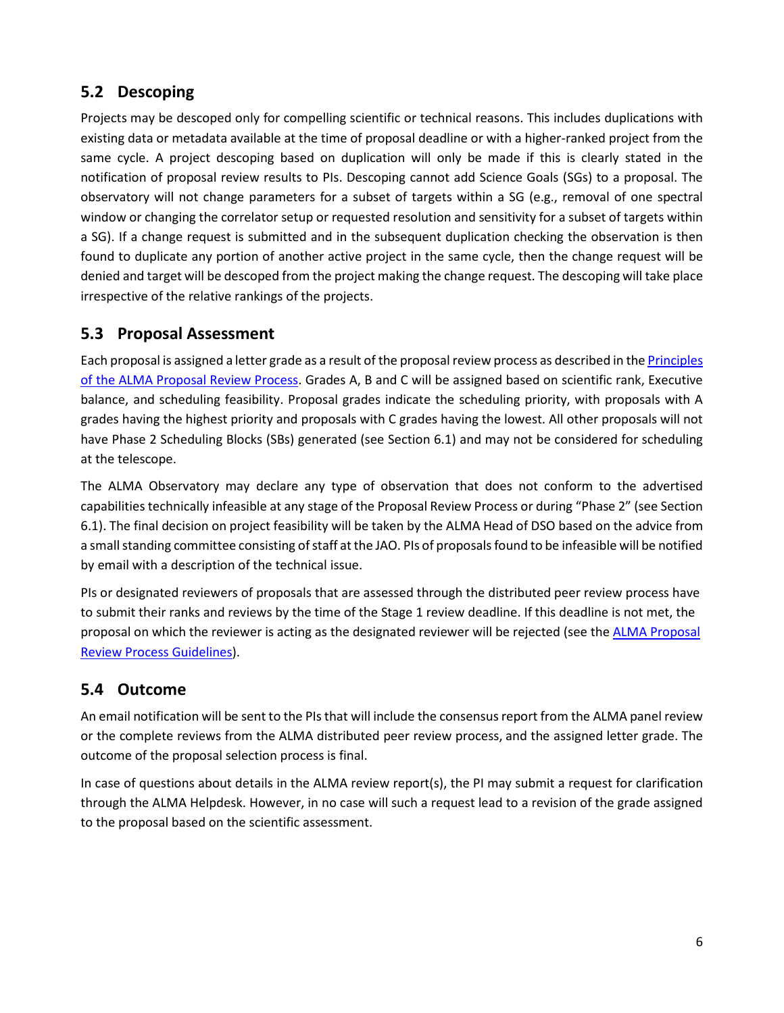### <span id="page-7-0"></span>**5.2 Descoping**

Projects may be descoped only for compelling scientific or technical reasons. This includes duplications with existing data or metadata available at the time of proposal deadline or with a higher-ranked project from the same cycle. A project descoping based on duplication will only be made if this is clearly stated in the notification of proposal review results to PIs. Descoping cannot add Science Goals (SGs) to a proposal. The observatory will not change parameters for a subset of targets within a SG (e.g., removal of one spectral window or changing the correlator setup or requested resolution and sensitivity for a subset of targets within a SG). If a change request is submitted and in the subsequent duplication checking the observation is then found to duplicate any portion of another active project in the same cycle, then the change request will be denied and target will be descoped from the project making the change request. The descoping will take place irrespective of the relative rankings of the projects.

#### <span id="page-7-1"></span>**5.3 Proposal Assessment**

Each proposal is assigned a letter grade as a result of the proposal review process as described in the [Principles](http://almascience.org/documents-and-tools/cycle9/alma-proposal-review-process)  [of the ALMA Proposal Review Process.](http://almascience.org/documents-and-tools/cycle9/alma-proposal-review-process) Grades A, B and C will be assigned based on scientific rank, Executive balance, and scheduling feasibility. Proposal grades indicate the scheduling priority, with proposals with A grades having the highest priority and proposals with C grades having the lowest. All other proposals will not have Phase 2 Scheduling Blocks (SBs) generated (see Section 6.1) and may not be considered for scheduling at the telescope.

The ALMA Observatory may declare any type of observation that does not conform to the advertised capabilities technically infeasible at any stage of the Proposal Review Process or during "Phase 2" (see Section 6.1). The final decision on project feasibility will be taken by the ALMA Head of DSO based on the advice from a small standing committee consisting of staff at the JAO. PIs of proposals found to be infeasible will be notified by email with a description of the technical issue.

PIs or designated reviewers of proposals that are assessed through the distributed peer review process have to submit their ranks and reviews by the time of the Stage 1 review deadline. If this deadline is not met, the proposal on which the reviewer is acting as the designated reviewer will be rejected (see th[e ALMA Proposal](http://almascience.org/documents-and-tools/cycle9/alma-proposal-review-process) [Review Process Guidelines\)](http://almascience.org/documents-and-tools/cycle9/alma-proposal-review-process).

#### <span id="page-7-2"></span>**5.4 Outcome**

An email notification will be sent to the PIs that will include the consensus report from the ALMA panel review or the complete reviews from the ALMA distributed peer review process, and the assigned letter grade. The outcome of the proposal selection process is final.

<span id="page-7-3"></span>In case of questions about details in the ALMA review report(s), the PI may submit a request for clarification through the ALMA Helpdesk. However, in no case will such a request lead to a revision of the grade assigned to the proposal based on the scientific assessment.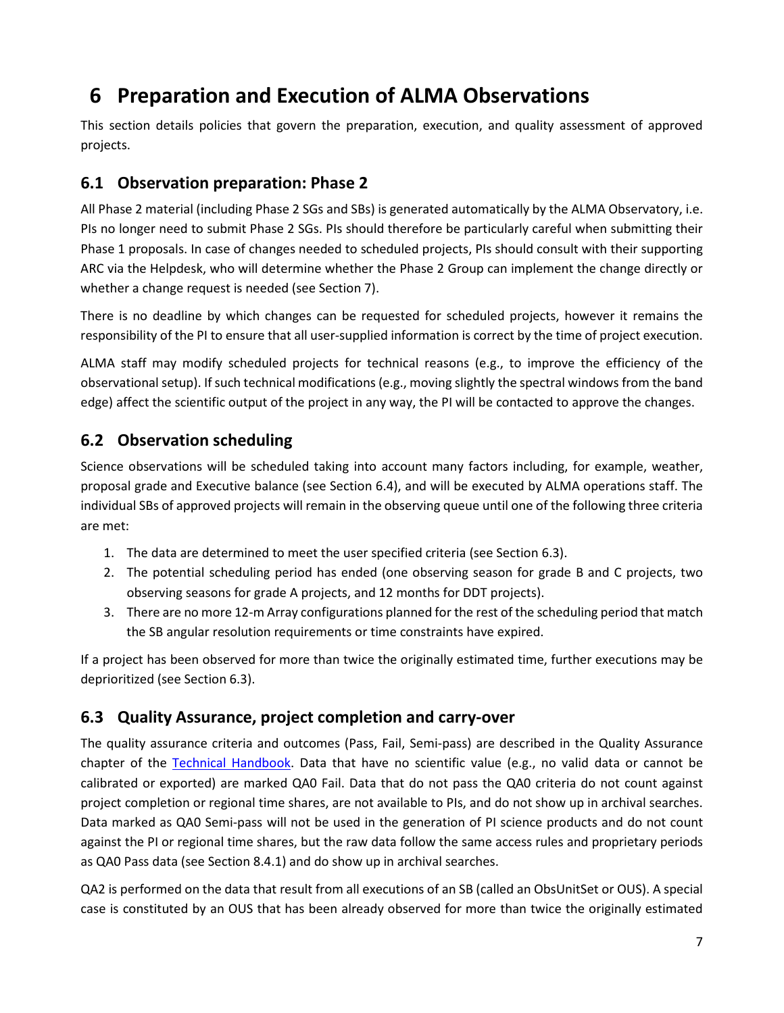## **6 Preparation and Execution of ALMA Observations**

This section details policies that govern the preparation, execution, and quality assessment of approved projects.

#### <span id="page-8-0"></span>**6.1 Observation preparation: Phase 2**

All Phase 2 material (including Phase 2 SGs and SBs) is generated automatically by the ALMA Observatory, i.e. PIs no longer need to submit Phase 2 SGs. PIs should therefore be particularly careful when submitting their Phase 1 proposals. In case of changes needed to scheduled projects, PIs should consult with their supporting ARC via the Helpdesk, who will determine whether the Phase 2 Group can implement the change directly or whether a change request is needed (see Section 7).

There is no deadline by which changes can be requested for scheduled projects, however it remains the responsibility of the PI to ensure that all user-supplied information is correct by the time of project execution.

ALMA staff may modify scheduled projects for technical reasons (e.g., to improve the efficiency of the observational setup). If such technical modifications (e.g., moving slightly the spectral windows from the band edge) affect the scientific output of the project in any way, the PI will be contacted to approve the changes.

### <span id="page-8-1"></span>**6.2 Observation scheduling**

Science observations will be scheduled taking into account many factors including, for example, weather, proposal grade and Executive balance (see Section 6.4), and will be executed by ALMA operations staff. The individual SBs of approved projects will remain in the observing queue until one of the following three criteria are met:

- 1. The data are determined to meet the user specified criteria (see Section 6.3).
- 2. The potential scheduling period has ended (one observing season for grade B and C projects, two observing seasons for grade A projects, and 12 months for DDT projects).
- 3. There are no more 12-m Array configurations planned for the rest of the scheduling period that match the SB angular resolution requirements or time constraints have expired.

If a project has been observed for more than twice the originally estimated time, further executions may be deprioritized (see Section 6.3).

#### <span id="page-8-2"></span>**6.3 Quality Assurance, project completion and carry-over**

The quality assurance criteria and outcomes (Pass, Fail, Semi-pass) are described in the Quality Assurance chapter of the [Technical Handbook.](http://almascience.org/documents-and-tools/cycle9/alma-technical-handbook) Data that have no scientific value (e.g., no valid data or cannot be calibrated or exported) are marked QA0 Fail. Data that do not pass the QA0 criteria do not count against project completion or regional time shares, are not available to PIs, and do not show up in archival searches. Data marked as QA0 Semi-pass will not be used in the generation of PI science products and do not count against the PI or regional time shares, but the raw data follow the same access rules and proprietary periods as QA0 Pass data (see Section 8.4.1) and do show up in archival searches.

QA2 is performed on the data that result from all executions of an SB (called an ObsUnitSet or OUS). A special case is constituted by an OUS that has been already observed for more than twice the originally estimated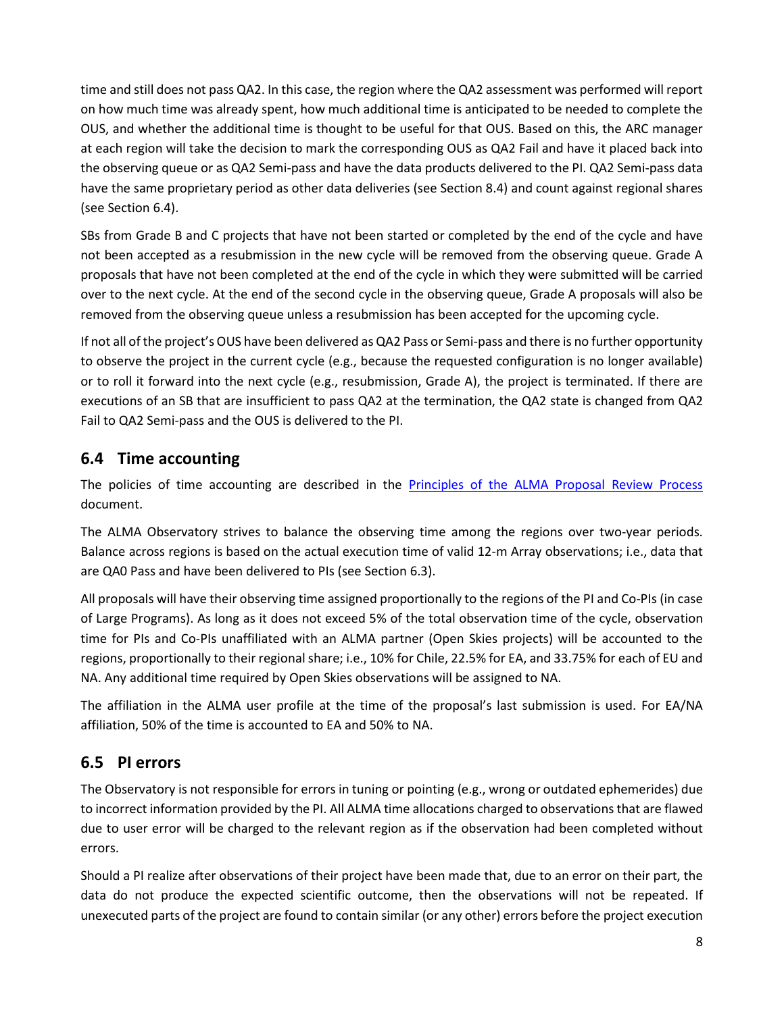time and still does not pass QA2. In this case, the region where the QA2 assessment was performed will report on how much time was already spent, how much additional time is anticipated to be needed to complete the OUS, and whether the additional time is thought to be useful for that OUS. Based on this, the ARC manager at each region will take the decision to mark the corresponding OUS as QA2 Fail and have it placed back into the observing queue or as QA2 Semi-pass and have the data products delivered to the PI. QA2 Semi-pass data have the same proprietary period as other data deliveries (see Section 8.4) and count against regional shares (see Section 6.4).

SBs from Grade B and C projects that have not been started or completed by the end of the cycle and have not been accepted as a resubmission in the new cycle will be removed from the observing queue. Grade A proposals that have not been completed at the end of the cycle in which they were submitted will be carried over to the next cycle. At the end of the second cycle in the observing queue, Grade A proposals will also be removed from the observing queue unless a resubmission has been accepted for the upcoming cycle.

If not all of the project's OUS have been delivered as QA2 Pass or Semi-pass and there is no further opportunity to observe the project in the current cycle (e.g., because the requested configuration is no longer available) or to roll it forward into the next cycle (e.g., resubmission, Grade A), the project is terminated. If there are executions of an SB that are insufficient to pass QA2 at the termination, the QA2 state is changed from QA2 Fail to QA2 Semi-pass and the OUS is delivered to the PI.

### <span id="page-9-0"></span>**6.4 Time accounting**

The policies of time accounting are described in the [Principles of the ALMA Proposal Review Process](http://almascience.org/documents-and-tools/cycle9/alma-proposal-review-process) document.

The ALMA Observatory strives to balance the observing time among the regions over two-year periods. Balance across regions is based on the actual execution time of valid 12-m Array observations; i.e., data that are QA0 Pass and have been delivered to PIs (see Section 6.3).

All proposals will have their observing time assigned proportionally to the regions of the PI and Co-PIs (in case of Large Programs). As long as it does not exceed 5% of the total observation time of the cycle, observation time for PIs and Co-PIs unaffiliated with an ALMA partner (Open Skies projects) will be accounted to the regions, proportionally to their regional share; i.e., 10% for Chile, 22.5% for EA, and 33.75% for each of EU and NA. Any additional time required by Open Skies observations will be assigned to NA.

The affiliation in the ALMA user profile at the time of the proposal's last submission is used. For EA/NA affiliation, 50% of the time is accounted to EA and 50% to NA.

### <span id="page-9-1"></span>**6.5 PI errors**

The Observatory is not responsible for errors in tuning or pointing (e.g., wrong or outdated ephemerides) due to incorrect information provided by the PI. All ALMA time allocations charged to observations that are flawed due to user error will be charged to the relevant region as if the observation had been completed without errors.

Should a PI realize after observations of their project have been made that, due to an error on their part, the data do not produce the expected scientific outcome, then the observations will not be repeated. If unexecuted parts of the project are found to contain similar (or any other) errors before the project execution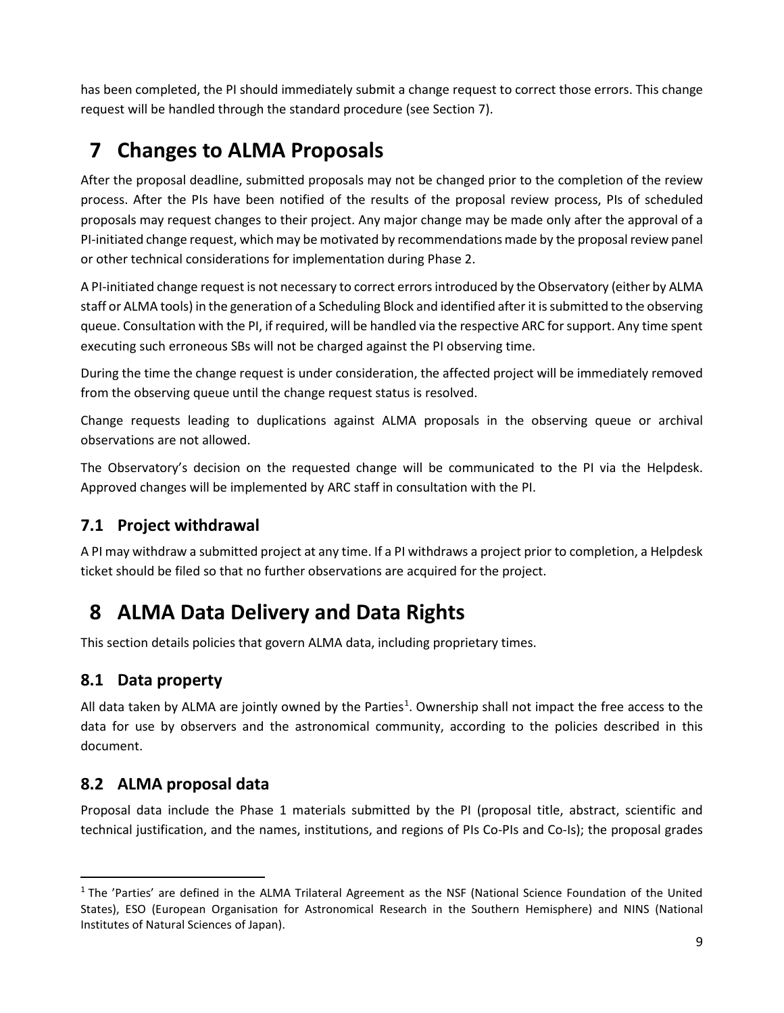has been completed, the PI should immediately submit a change request to correct those errors. This change request will be handled through the standard procedure (see Section 7).

## <span id="page-10-0"></span>**7 Changes to ALMA Proposals**

After the proposal deadline, submitted proposals may not be changed prior to the completion of the review process. After the PIs have been notified of the results of the proposal review process, PIs of scheduled proposals may request changes to their project. Any major change may be made only after the approval of a PI-initiated change request, which may be motivated by recommendations made by the proposal review panel or other technical considerations for implementation during Phase 2.

A PI-initiated change request is not necessary to correct errors introduced by the Observatory (either by ALMA staff or ALMA tools) in the generation of a Scheduling Block and identified after it is submitted to the observing queue. Consultation with the PI, if required, will be handled via the respective ARC for support. Any time spent executing such erroneous SBs will not be charged against the PI observing time.

During the time the change request is under consideration, the affected project will be immediately removed from the observing queue until the change request status is resolved.

Change requests leading to duplications against ALMA proposals in the observing queue or archival observations are not allowed.

The Observatory's decision on the requested change will be communicated to the PI via the Helpdesk. Approved changes will be implemented by ARC staff in consultation with the PI.

### <span id="page-10-1"></span>**7.1 Project withdrawal**

A PI may withdraw a submitted project at any time. If a PI withdraws a project prior to completion, a Helpdesk ticket should be filed so that no further observations are acquired for the project.

## <span id="page-10-2"></span>**8 ALMA Data Delivery and Data Rights**

This section details policies that govern ALMA data, including proprietary times.

### <span id="page-10-3"></span>**8.1 Data property**

All data taken by ALMA are jointly owned by the Parties<sup>[1](#page-10-5)</sup>. Ownership shall not impact the free access to the data for use by observers and the astronomical community, according to the policies described in this document.

### <span id="page-10-4"></span>**8.2 ALMA proposal data**

Proposal data include the Phase 1 materials submitted by the PI (proposal title, abstract, scientific and technical justification, and the names, institutions, and regions of PIs Co-PIs and Co-Is); the proposal grades

<span id="page-10-5"></span> $1$  The 'Parties' are defined in the ALMA Trilateral Agreement as the NSF (National Science Foundation of the United States), ESO (European Organisation for Astronomical Research in the Southern Hemisphere) and NINS (National Institutes of Natural Sciences of Japan).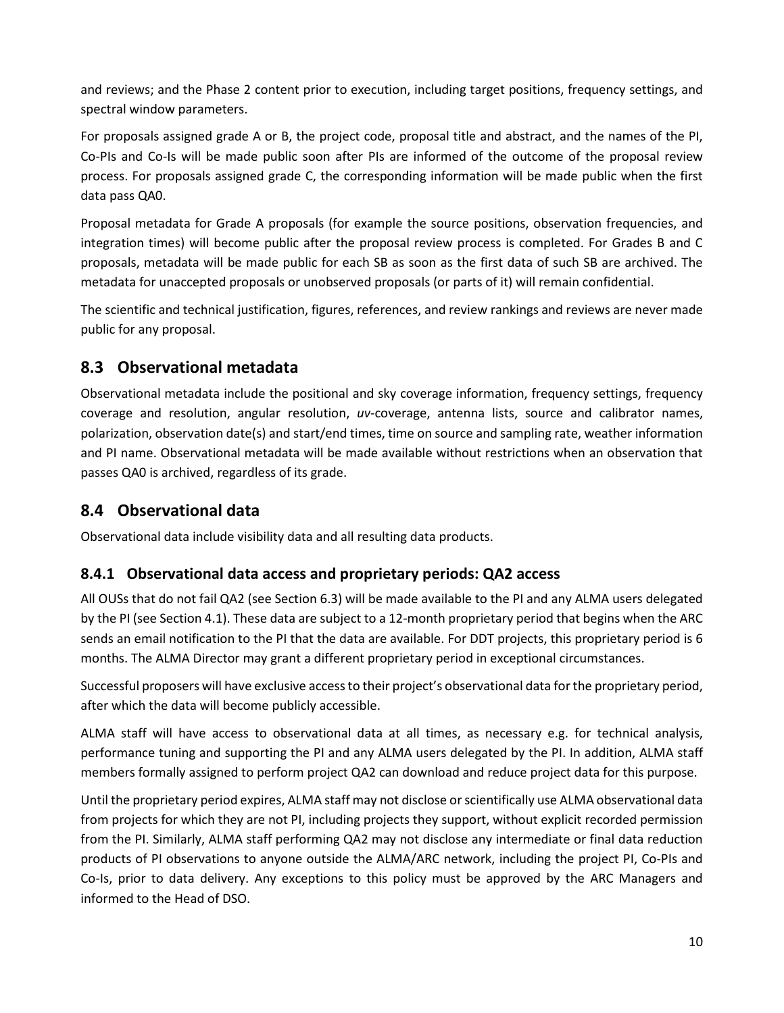and reviews; and the Phase 2 content prior to execution, including target positions, frequency settings, and spectral window parameters.

For proposals assigned grade A or B, the project code, proposal title and abstract, and the names of the PI, Co-PIs and Co-Is will be made public soon after PIs are informed of the outcome of the proposal review process. For proposals assigned grade C, the corresponding information will be made public when the first data pass QA0.

Proposal metadata for Grade A proposals (for example the source positions, observation frequencies, and integration times) will become public after the proposal review process is completed. For Grades B and C proposals, metadata will be made public for each SB as soon as the first data of such SB are archived. The metadata for unaccepted proposals or unobserved proposals (or parts of it) will remain confidential.

The scientific and technical justification, figures, references, and review rankings and reviews are never made public for any proposal.

### <span id="page-11-0"></span>**8.3 Observational metadata**

Observational metadata include the positional and sky coverage information, frequency settings, frequency coverage and resolution, angular resolution, *uv*-coverage, antenna lists, source and calibrator names, polarization, observation date(s) and start/end times, time on source and sampling rate, weather information and PI name. Observational metadata will be made available without restrictions when an observation that passes QA0 is archived, regardless of its grade.

### <span id="page-11-1"></span>**8.4 Observational data**

Observational data include visibility data and all resulting data products.

#### <span id="page-11-2"></span>**8.4.1 Observational data access and proprietary periods: QA2 access**

All OUSs that do not fail QA2 (see Section 6.3) will be made available to the PI and any ALMA users delegated by the PI (see Section 4.1). These data are subject to a 12-month proprietary period that begins when the ARC sends an email notification to the PI that the data are available. For DDT projects, this proprietary period is 6 months. The ALMA Director may grant a different proprietary period in exceptional circumstances.

Successful proposers will have exclusive access to their project's observational data for the proprietary period, after which the data will become publicly accessible.

ALMA staff will have access to observational data at all times, as necessary e.g. for technical analysis, performance tuning and supporting the PI and any ALMA users delegated by the PI. In addition, ALMA staff members formally assigned to perform project QA2 can download and reduce project data for this purpose.

Until the proprietary period expires, ALMA staff may not disclose or scientifically use ALMA observational data from projects for which they are not PI, including projects they support, without explicit recorded permission from the PI. Similarly, ALMA staff performing QA2 may not disclose any intermediate or final data reduction products of PI observations to anyone outside the ALMA/ARC network, including the project PI, Co-PIs and Co-Is, prior to data delivery. Any exceptions to this policy must be approved by the ARC Managers and informed to the Head of DSO.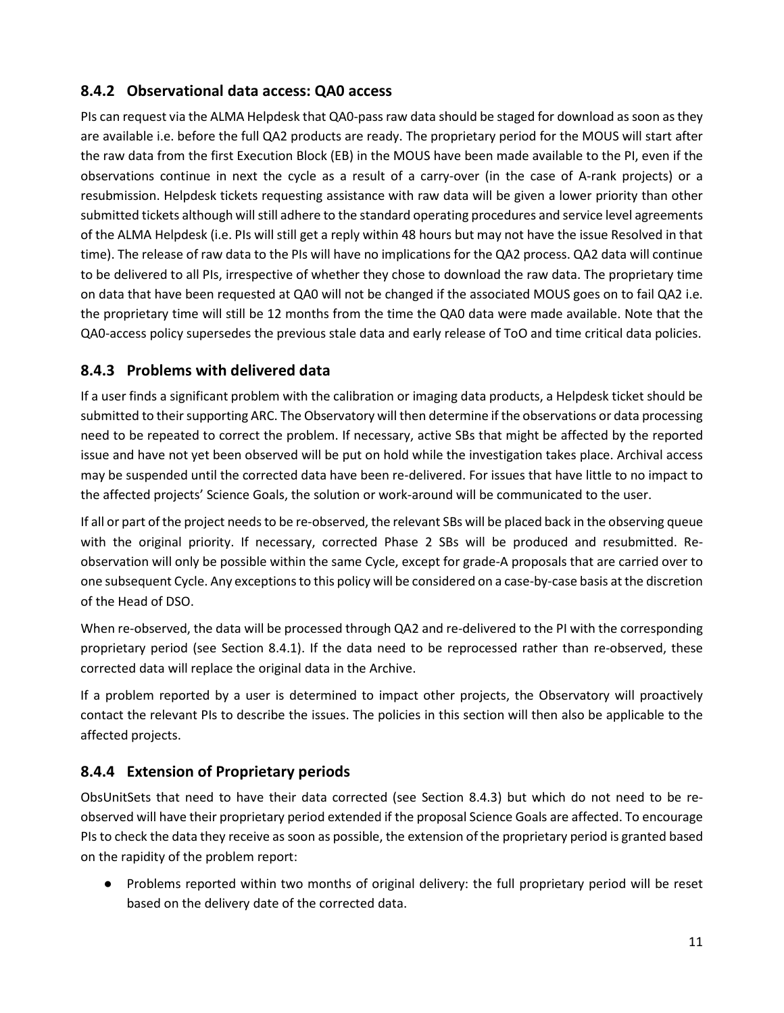#### <span id="page-12-0"></span>**8.4.2 Observational data access: QA0 access**

PIs can request via the ALMA Helpdesk that QA0-pass raw data should be staged for download as soon as they are available i.e. before the full QA2 products are ready. The proprietary period for the MOUS will start after the raw data from the first Execution Block (EB) in the MOUS have been made available to the PI, even if the observations continue in next the cycle as a result of a carry-over (in the case of A-rank projects) or a resubmission. Helpdesk tickets requesting assistance with raw data will be given a lower priority than other submitted tickets although will still adhere to the standard operating procedures and service level agreements of the ALMA Helpdesk (i.e. PIs will still get a reply within 48 hours but may not have the issue Resolved in that time). The release of raw data to the PIs will have no implications for the QA2 process. QA2 data will continue to be delivered to all PIs, irrespective of whether they chose to download the raw data. The proprietary time on data that have been requested at QA0 will not be changed if the associated MOUS goes on to fail QA2 i.e. the proprietary time will still be 12 months from the time the QA0 data were made available. Note that the QA0-access policy supersedes the previous stale data and early release of ToO and time critical data policies.

#### <span id="page-12-1"></span>**8.4.3 Problems with delivered data**

If a user finds a significant problem with the calibration or imaging data products, a Helpdesk ticket should be submitted to their supporting ARC. The Observatory will then determine if the observations or data processing need to be repeated to correct the problem. If necessary, active SBs that might be affected by the reported issue and have not yet been observed will be put on hold while the investigation takes place. Archival access may be suspended until the corrected data have been re-delivered. For issues that have little to no impact to the affected projects' Science Goals, the solution or work-around will be communicated to the user.

If all or part of the project needs to be re-observed, the relevant SBs will be placed back in the observing queue with the original priority. If necessary, corrected Phase 2 SBs will be produced and resubmitted. Reobservation will only be possible within the same Cycle, except for grade-A proposals that are carried over to one subsequent Cycle. Any exceptions to this policy will be considered on a case-by-case basis at the discretion of the Head of DSO.

When re-observed, the data will be processed through QA2 and re-delivered to the PI with the corresponding proprietary period (see Section 8.4.1). If the data need to be reprocessed rather than re-observed, these corrected data will replace the original data in the Archive.

If a problem reported by a user is determined to impact other projects, the Observatory will proactively contact the relevant PIs to describe the issues. The policies in this section will then also be applicable to the affected projects.

#### <span id="page-12-2"></span>**8.4.4 Extension of Proprietary periods**

ObsUnitSets that need to have their data corrected (see Section 8.4.3) but which do not need to be reobserved will have their proprietary period extended if the proposal Science Goals are affected. To encourage PIs to check the data they receive as soon as possible, the extension of the proprietary period is granted based on the rapidity of the problem report:

● Problems reported within two months of original delivery: the full proprietary period will be reset based on the delivery date of the corrected data.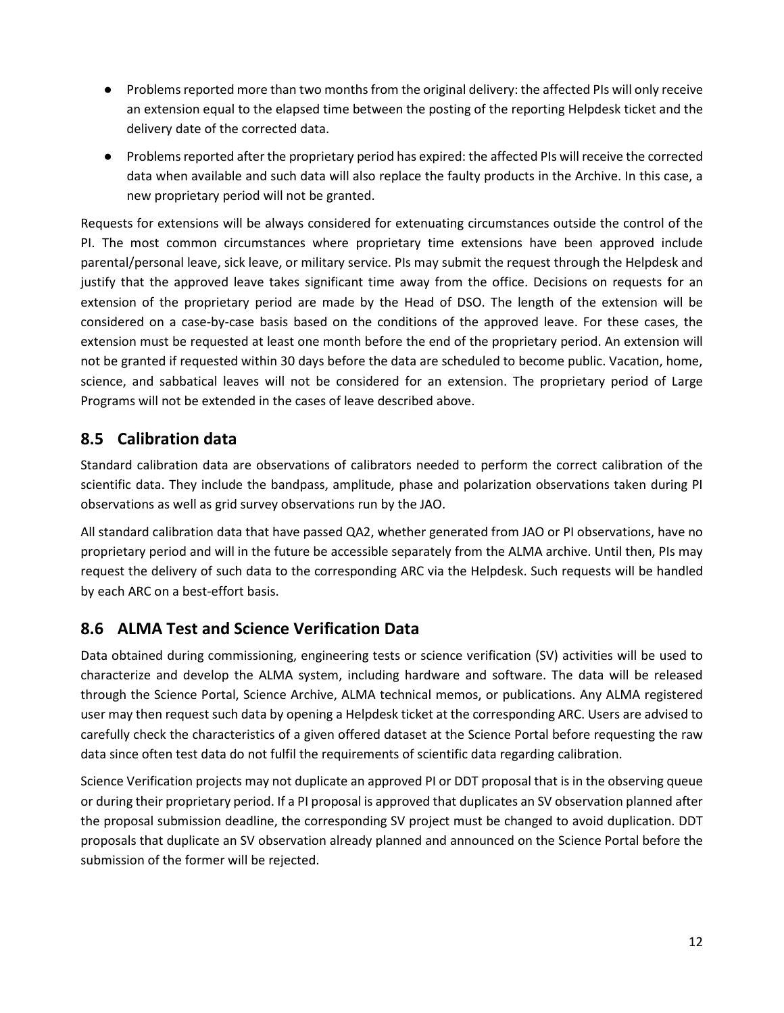- Problems reported more than two months from the original delivery: the affected PIs will only receive an extension equal to the elapsed time between the posting of the reporting Helpdesk ticket and the delivery date of the corrected data.
- Problems reported after the proprietary period has expired: the affected PIs will receive the corrected data when available and such data will also replace the faulty products in the Archive. In this case, a new proprietary period will not be granted.

Requests for extensions will be always considered for extenuating circumstances outside the control of the PI. The most common circumstances where proprietary time extensions have been approved include parental/personal leave, sick leave, or military service. PIs may submit the request through the Helpdesk and justify that the approved leave takes significant time away from the office. Decisions on requests for an extension of the proprietary period are made by the Head of DSO. The length of the extension will be considered on a case-by-case basis based on the conditions of the approved leave. For these cases, the extension must be requested at least one month before the end of the proprietary period. An extension will not be granted if requested within 30 days before the data are scheduled to become public. Vacation, home, science, and sabbatical leaves will not be considered for an extension. The proprietary period of Large Programs will not be extended in the cases of leave described above.

### <span id="page-13-0"></span>**8.5 Calibration data**

Standard calibration data are observations of calibrators needed to perform the correct calibration of the scientific data. They include the bandpass, amplitude, phase and polarization observations taken during PI observations as well as grid survey observations run by the JAO.

All standard calibration data that have passed QA2, whether generated from JAO or PI observations, have no proprietary period and will in the future be accessible separately from the ALMA archive. Until then, PIs may request the delivery of such data to the corresponding ARC via the Helpdesk. Such requests will be handled by each ARC on a best-effort basis.

#### <span id="page-13-1"></span>**8.6 ALMA Test and Science Verification Data**

Data obtained during commissioning, engineering tests or science verification (SV) activities will be used to characterize and develop the ALMA system, including hardware and software. The data will be released through the Science Portal, Science Archive, ALMA technical memos, or publications. Any ALMA registered user may then request such data by opening a Helpdesk ticket at the corresponding ARC. Users are advised to carefully check the characteristics of a given offered dataset at the Science Portal before requesting the raw data since often test data do not fulfil the requirements of scientific data regarding calibration.

Science Verification projects may not duplicate an approved PI or DDT proposal that is in the observing queue or during their proprietary period. If a PI proposal is approved that duplicates an SV observation planned after the proposal submission deadline, the corresponding SV project must be changed to avoid duplication. DDT proposals that duplicate an SV observation already planned and announced on the Science Portal before the submission of the former will be rejected.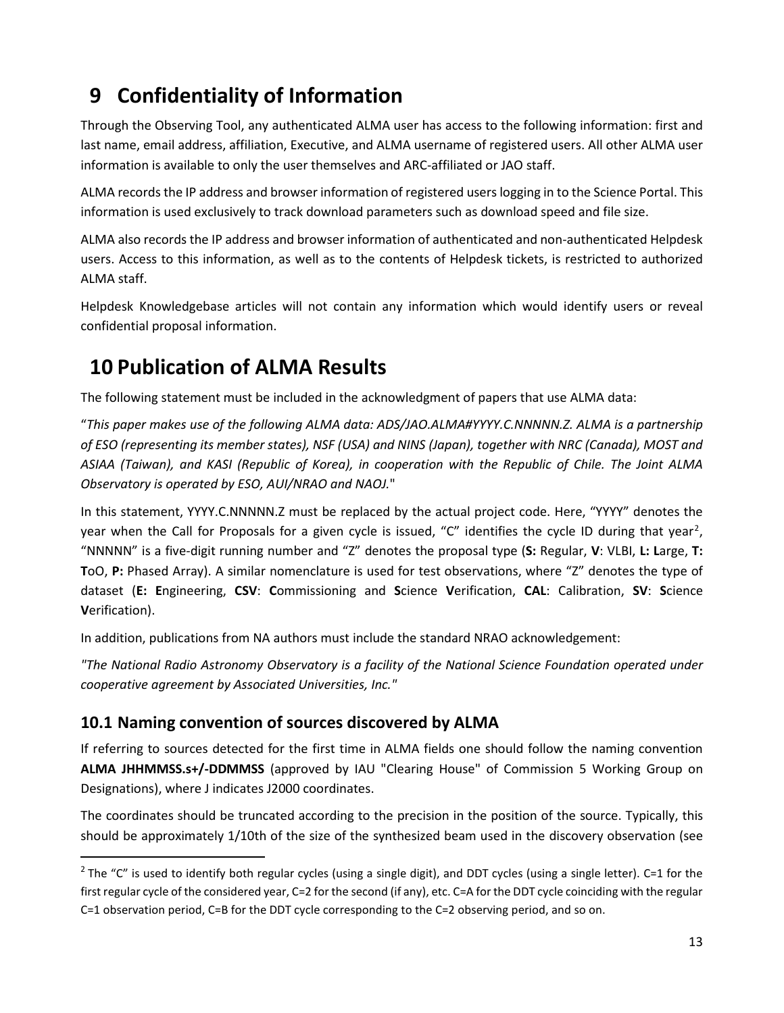## <span id="page-14-0"></span>**9 Confidentiality of Information**

Through the Observing Tool, any authenticated ALMA user has access to the following information: first and last name, email address, affiliation, Executive, and ALMA username of registered users. All other ALMA user information is available to only the user themselves and ARC-affiliated or JAO staff.

ALMA records the IP address and browser information of registered users logging in to the Science Portal. This information is used exclusively to track download parameters such as download speed and file size.

ALMA also records the IP address and browser information of authenticated and non-authenticated Helpdesk users. Access to this information, as well as to the contents of Helpdesk tickets, is restricted to authorized ALMA staff.

Helpdesk Knowledgebase articles will not contain any information which would identify users or reveal confidential proposal information.

## <span id="page-14-1"></span>**10 Publication of ALMA Results**

The following statement must be included in the acknowledgment of papers that use ALMA data:

"*This paper makes use of the following ALMA data: ADS/JAO.ALMA#YYYY.C.NNNNN.Z. ALMA is a partnership of ESO (representing its member states), NSF (USA) and NINS (Japan), together with NRC (Canada), MOST and ASIAA (Taiwan), and KASI (Republic of Korea), in cooperation with the Republic of Chile. The Joint ALMA Observatory is operated by ESO, AUI/NRAO and NAOJ.*"

In this statement, YYYY.C.NNNNN.Z must be replaced by the actual project code. Here, "YYYY" denotes the year when the Call for Proposals for a given cycle is issued, "C" identifies the cycle ID during that year<sup>[2](#page-14-3)</sup>, "NNNNN" is a five-digit running number and "Z" denotes the proposal type (**S:** Regular, **V**: VLBI, **L: L**arge, **T: T**oO, **P:** Phased Array). A similar nomenclature is used for test observations, where "Z" denotes the type of dataset (**E: E**ngineering, **CSV**: **C**ommissioning and **S**cience **V**erification, **CAL**: Calibration, **SV**: **S**cience **V**erification).

In addition, publications from NA authors must include the standard NRAO acknowledgement:

*"The National Radio Astronomy Observatory is a facility of the National Science Foundation operated under cooperative agreement by Associated Universities, Inc."*

### <span id="page-14-2"></span>**10.1 Naming convention of sources discovered by ALMA**

If referring to sources detected for the first time in ALMA fields one should follow the naming convention **ALMA JHHMMSS.s+/-DDMMSS** (approved by IAU "Clearing House" of Commission 5 Working Group on Designations), where J indicates J2000 coordinates.

The coordinates should be truncated according to the precision in the position of the source. Typically, this should be approximately 1/10th of the size of the synthesized beam used in the discovery observation (see

<span id="page-14-3"></span> $2$  The "C" is used to identify both regular cycles (using a single digit), and DDT cycles (using a single letter). C=1 for the first regular cycle of the considered year, C=2 for the second (if any), etc. C=A for the DDT cycle coinciding with the regular C=1 observation period, C=B for the DDT cycle corresponding to the C=2 observing period, and so on.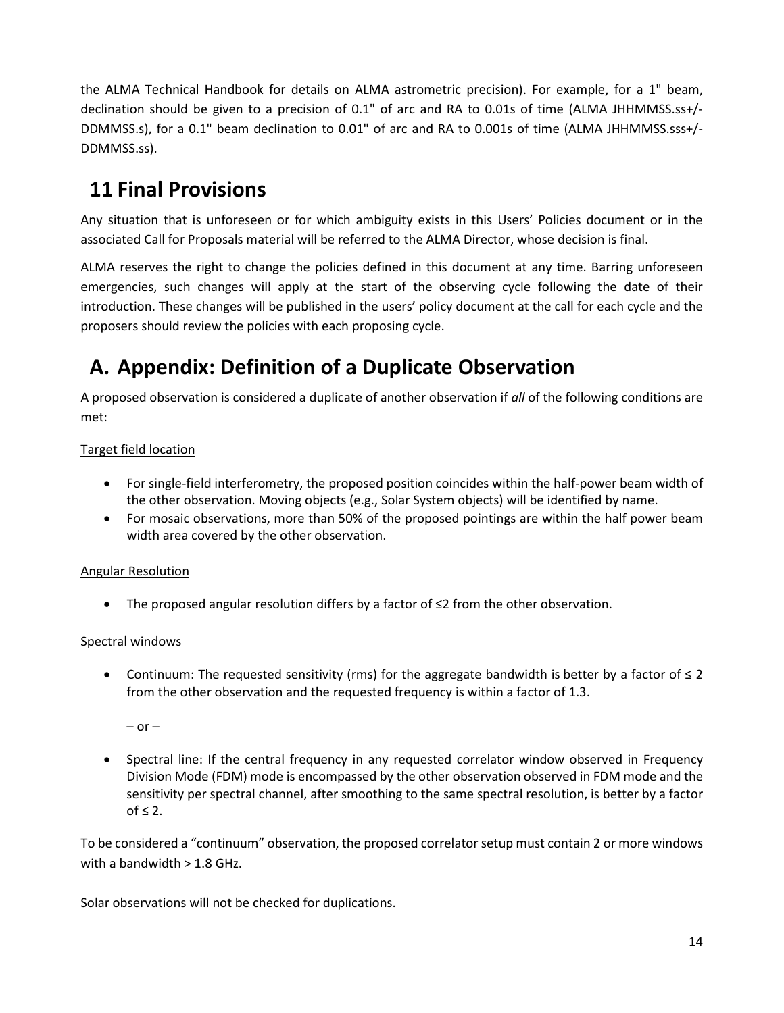the ALMA Technical Handbook for details on ALMA astrometric precision). For example, for a 1" beam, declination should be given to a precision of 0.1" of arc and RA to 0.01s of time (ALMA JHHMMSS.ss+/- DDMMSS.s), for a 0.1" beam declination to 0.01" of arc and RA to 0.001s of time (ALMA JHHMMSS.sss+/- DDMMSS.ss).

## <span id="page-15-0"></span>**11 Final Provisions**

Any situation that is unforeseen or for which ambiguity exists in this Users' Policies document or in the associated Call for Proposals material will be referred to the ALMA Director, whose decision is final.

ALMA reserves the right to change the policies defined in this document at any time. Barring unforeseen emergencies, such changes will apply at the start of the observing cycle following the date of their introduction. These changes will be published in the users' policy document at the call for each cycle and the proposers should review the policies with each proposing cycle.

## <span id="page-15-1"></span>**A. Appendix: Definition of a Duplicate Observation**

A proposed observation is considered a duplicate of another observation if *all* of the following conditions are met:

#### Target field location

- For single-field interferometry, the proposed position coincides within the half-power beam width of the other observation. Moving objects (e.g., Solar System objects) will be identified by name.
- For mosaic observations, more than 50% of the proposed pointings are within the half power beam width area covered by the other observation.

#### Angular Resolution

• The proposed angular resolution differs by a factor of ≤2 from the other observation.

#### Spectral windows

Continuum: The requested sensitivity (rms) for the aggregate bandwidth is better by a factor of  $\leq 2$ from the other observation and the requested frequency is within a factor of 1.3.

 $-$  or  $-$ 

• Spectral line: If the central frequency in any requested correlator window observed in Frequency Division Mode (FDM) mode is encompassed by the other observation observed in FDM mode and the sensitivity per spectral channel, after smoothing to the same spectral resolution, is better by a factor  $of \leq 2$ .

To be considered a "continuum" observation, the proposed correlator setup must contain 2 or more windows with a bandwidth  $> 1.8$  GHz.

Solar observations will not be checked for duplications.